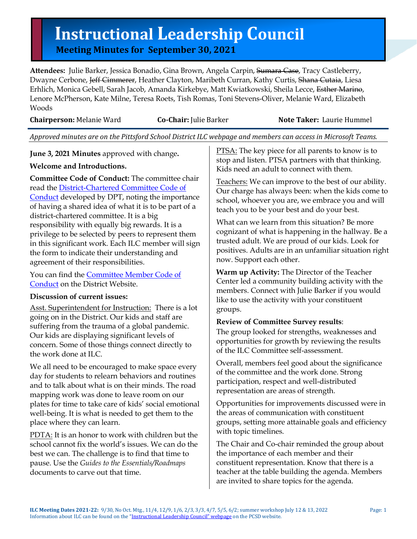# **Instructional Leadership Council**<br>
Meeting Minutes for September 30, 2021

**Attendees:** Julie Barker, Jessica Bonadio, Gina Brown, Angela Carpin, Sumara Case, Tracy Castleberry, Dwayne Cerbone, Jeff Cimmerer, Heather Clayton, Maribeth Curran, Kathy Curtis, Shana Cutaia, Liesa Erhlich, Monica Gebell, Sarah Jacob, Amanda Kirkebye, Matt Kwiatkowski, Sheila Lecce, Esther Marino, Lenore McPherson, Kate Milne, Teresa Roets, Tish Romas, Toni Stevens-Oliver, Melanie Ward, Elizabeth Woods

| <b>Chairperson: Melanie Ward</b> |  |
|----------------------------------|--|
|                                  |  |

#### **Co-Chair:** Julie Barker **Note Taker:** Laurie Hummel

*Approved minutes are on the Pittsford School District ILC webpage and members can access in Microsoft Teams.*

**June 3, 2021 Minutes** approved with change**.**

#### **Welcome and Introductions.**

**Committee Code of Conduct:** The committee chair read the [District-Chartered Committee Code of](https://www.pittsfordschools.org/domain/1604)  [Conduct](https://www.pittsfordschools.org/domain/1604) developed by DPT, noting the importance of having a shared idea of what it is to be part of a district-chartered committee. It is a big responsibility with equally big rewards. It is a privilege to be selected by peers to represent them in this significant work. Each ILC member will sign the form to indicate their understanding and agreement of their responsibilities.

You can find the [Committee Member Code of](https://www.pittsfordschools.org/domain/1604)  [Conduct](https://www.pittsfordschools.org/domain/1604) on the District Website.

## **Discussion of current issues:**

Asst. Superintendent for Instruction: There is a lot going on in the District. Our kids and staff are suffering from the trauma of a global pandemic. Our kids are displaying significant levels of concern. Some of those things connect directly to the work done at ILC.

We all need to be encouraged to make space every day for students to relearn behaviors and routines and to talk about what is on their minds. The road mapping work was done to leave room on our plates for time to take care of kids' social emotional well-being. It is what is needed to get them to the place where they can learn.

PDTA: It is an honor to work with children but the school cannot fix the world's issues. We can do the best we can. The challenge is to find that time to pause. Use the *Guides to the Essentials/Roadmaps* documents to carve out that time.

PTSA: The key piece for all parents to know is to stop and listen. PTSA partners with that thinking. Kids need an adult to connect with them.

Teachers: We can improve to the best of our ability. Our charge has always been: when the kids come to school, whoever you are, we embrace you and will teach you to be your best and do your best.

What can we learn from this situation? Be more cognizant of what is happening in the hallway. Be a trusted adult. We are proud of our kids. Look for positives. Adults are in an unfamiliar situation right now. Support each other.

**Warm up Activity:** The Director of the Teacher Center led a community building activity with the members. Connect with Julie Barker if you would like to use the activity with your constituent groups.

## **Review of Committee Survey results**:

The group looked for strengths, weaknesses and opportunities for growth by reviewing the results of the ILC Committee self-assessment.

Overall, members feel good about the significance of the committee and the work done. Strong participation, respect and well-distributed representation are areas of strength.

Opportunities for improvements discussed were in the areas of communication with constituent groups, setting more attainable goals and efficiency with topic timelines.

The Chair and Co-chair reminded the group about the importance of each member and their constituent representation. Know that there is a teacher at the table building the agenda. Members are invited to share topics for the agenda.